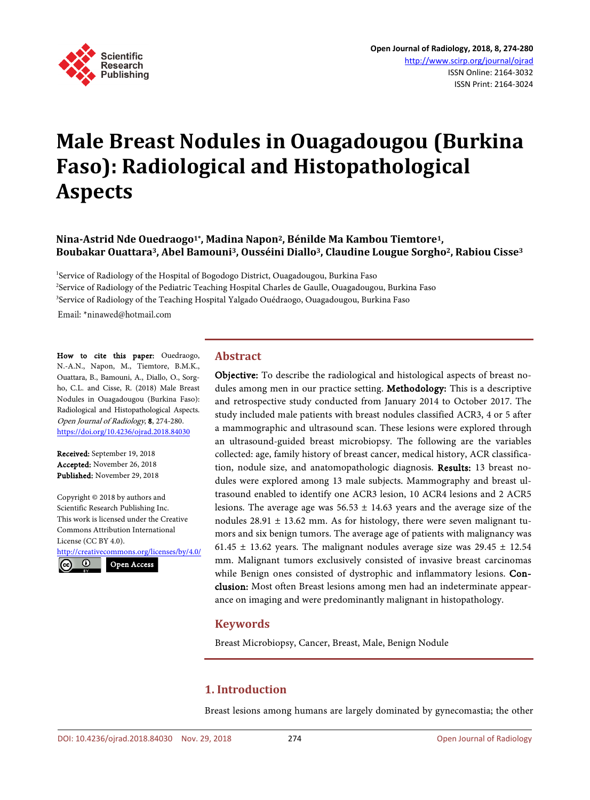

# **Male Breast Nodules in Ouagadougou (Burkina Faso): Radiological and Histopathological Aspects**

**Nina-Astrid Nde Ouedraogo1\*, Madina Napon2, Bénilde Ma Kambou Tiemtore1, Boubakar Ouattara3, Abel Bamouni3, Ousséini Diallo3, Claudine Lougue Sorgho2, Rabiou Cisse3**

<sup>1</sup>Service of Radiology of the Hospital of Bogodogo District, Ouagadougou, Burkina Faso <sup>2</sup>Service of Radiology of the Pediatric Teaching Hospital Charles de Gaulle, Ouagadougou, Burkina Faso <sup>3</sup>Service of Radiology of the Teaching Hospital Yalgado Ouédraogo, Ouagadougou, Burkina Faso

Email: \*ninawed@hotmail.com

How to cite this paper: Ouedraogo, N.-A.N., Napon, M., Tiemtore, B.M.K., Ouattara, B., Bamouni, A., Diallo, O., Sorgho, C.L. and Cisse, R. (2018) Male Breast Nodules in Ouagadougou (Burkina Faso): Radiological and Histopathological Aspects. Open Journal of Radiology, 8, 274-280. <https://doi.org/10.4236/ojrad.2018.84030>

Received: September 19, 2018 Accepted: November 26, 2018 Published: November 29, 2018

Copyright © 2018 by authors and Scientific Research Publishing Inc. This work is licensed under the Creative Commons Attribution International License (CC BY 4.0). <http://creativecommons.org/licenses/by/4.0/>

 $\odot$ Open Access

#### **Abstract**

Objective: To describe the radiological and histological aspects of breast nodules among men in our practice setting. Methodology: This is a descriptive and retrospective study conducted from January 2014 to October 2017. The study included male patients with breast nodules classified ACR3, 4 or 5 after a mammographic and ultrasound scan. These lesions were explored through an ultrasound-guided breast microbiopsy. The following are the variables collected: age, family history of breast cancer, medical history, ACR classification, nodule size, and anatomopathologic diagnosis. Results: 13 breast nodules were explored among 13 male subjects. Mammography and breast ultrasound enabled to identify one ACR3 lesion, 10 ACR4 lesions and 2 ACR5 lesions. The average age was  $56.53 \pm 14.63$  years and the average size of the nodules  $28.91 \pm 13.62$  mm. As for histology, there were seven malignant tumors and six benign tumors. The average age of patients with malignancy was 61.45  $\pm$  13.62 years. The malignant nodules average size was 29.45  $\pm$  12.54 mm. Malignant tumors exclusively consisted of invasive breast carcinomas while Benign ones consisted of dystrophic and inflammatory lesions. Conclusion: Most often Breast lesions among men had an indeterminate appearance on imaging and were predominantly malignant in histopathology.

## **Keywords**

Breast Microbiopsy, Cancer, Breast, Male, Benign Nodule

## **1. Introduction**

Breast lesions among humans are largely dominated by gynecomastia; the other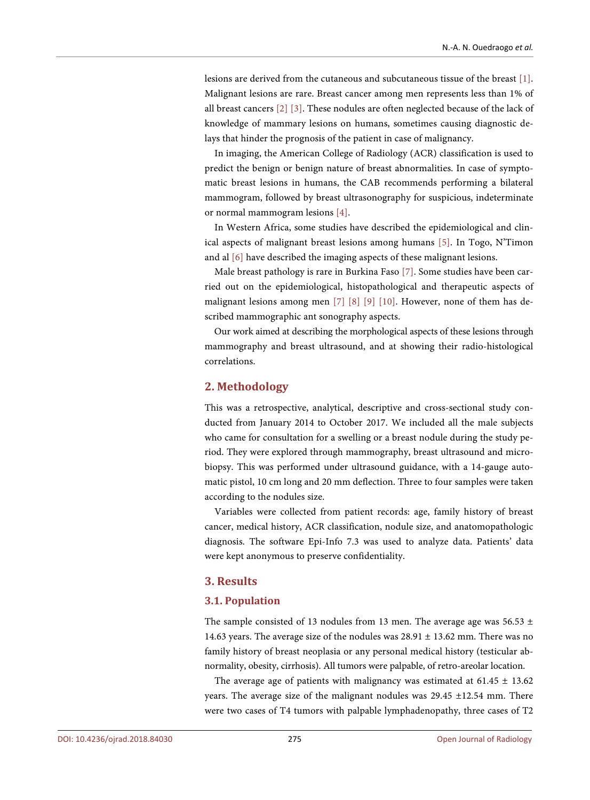lesions are derived from the cutaneous and subcutaneous tissue of the breast [\[1\].](#page-5-0)  Malignant lesions are rare. Breast cancer among men represents less than 1% of all breast cancers [\[2\]](#page-5-1) [\[3\].](#page-5-2) These nodules are often neglected because of the lack of knowledge of mammary lesions on humans, sometimes causing diagnostic delays that hinder the prognosis of the patient in case of malignancy.

In imaging, the American College of Radiology (ACR) classification is used to predict the benign or benign nature of breast abnormalities. In case of symptomatic breast lesions in humans, the CAB recommends performing a bilateral mammogram, followed by breast ultrasonography for suspicious, indeterminate or normal mammogram lesions [\[4\].](#page-5-3) 

In Western Africa, some studies have described the epidemiological and clinical aspects of malignant breast lesions among humans [\[5\].](#page-5-4) In Togo, N'Timon and al [\[6\]](#page-5-5) have described the imaging aspects of these malignant lesions.

Male breast pathology is rare in Burkina Faso [\[7\].](#page-5-6) Some studies have been carried out on the epidemiological, histopathological and therapeutic aspects of malignant lesions among men [\[7\]](#page-5-6) [\[8\]](#page-5-7) [\[9\]](#page-5-8) [\[10\].](#page-5-9) However, none of them has described mammographic ant sonography aspects.

Our work aimed at describing the morphological aspects of these lesions through mammography and breast ultrasound, and at showing their radio-histological correlations.

## **2. Methodology**

This was a retrospective, analytical, descriptive and cross-sectional study conducted from January 2014 to October 2017. We included all the male subjects who came for consultation for a swelling or a breast nodule during the study period. They were explored through mammography, breast ultrasound and microbiopsy. This was performed under ultrasound guidance, with a 14-gauge automatic pistol, 10 cm long and 20 mm deflection. Three to four samples were taken according to the nodules size.

Variables were collected from patient records: age, family history of breast cancer, medical history, ACR classification, nodule size, and anatomopathologic diagnosis. The software Epi-Info 7.3 was used to analyze data. Patients' data were kept anonymous to preserve confidentiality.

## **3. Results**

#### **3.1. Population**

The sample consisted of 13 nodules from 13 men. The average age was  $56.53 \pm$ 14.63 years. The average size of the nodules was 28.91 ± 13.62 mm. There was no family history of breast neoplasia or any personal medical history (testicular abnormality, obesity, cirrhosis). All tumors were palpable, of retro-areolar location.

The average age of patients with malignancy was estimated at  $61.45 \pm 13.62$ years. The average size of the malignant nodules was 29.45 ±12.54 mm. There were two cases of T4 tumors with palpable lymphadenopathy, three cases of T2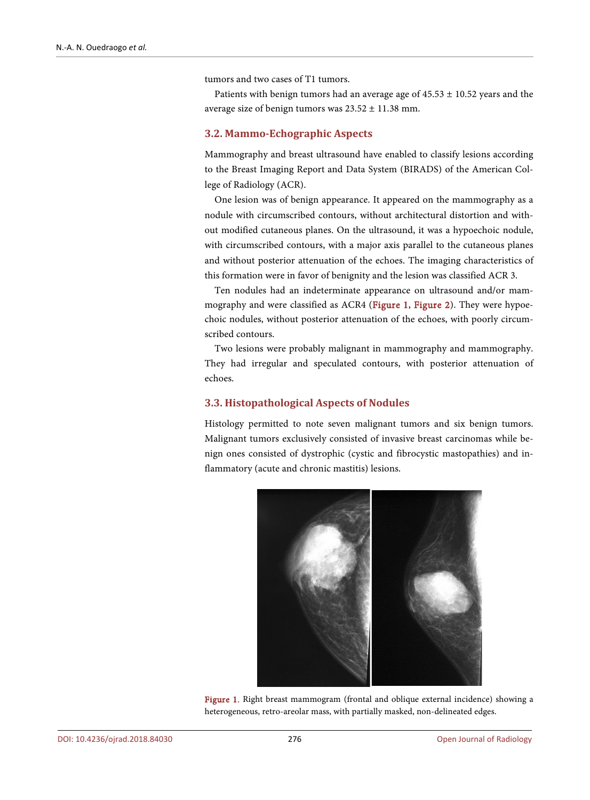tumors and two cases of T1 tumors.

Patients with benign tumors had an average age of  $45.53 \pm 10.52$  years and the average size of benign tumors was  $23.52 \pm 11.38$  mm.

#### **3.2. Mammo-Echographic Aspects**

Mammography and breast ultrasound have enabled to classify lesions according to the Breast Imaging Report and Data System (BIRADS) of the American College of Radiology (ACR).

One lesion was of benign appearance. It appeared on the mammography as a nodule with circumscribed contours, without architectural distortion and without modified cutaneous planes. On the ultrasound, it was a hypoechoic nodule, with circumscribed contours, with a major axis parallel to the cutaneous planes and without posterior attenuation of the echoes. The imaging characteristics of this formation were in favor of benignity and the lesion was classified ACR 3.

Ten nodules had an indeterminate appearance on ultrasound and/or mammography and were classified as ACR4 [\(Figure 1,](#page-2-0) [Figure 2\)](#page-3-0). They were hypoechoic nodules, without posterior attenuation of the echoes, with poorly circumscribed contours.

Two lesions were probably malignant in mammography and mammography. They had irregular and speculated contours, with posterior attenuation of echoes.

#### **3.3. Histopathological Aspects of Nodules**

Histology permitted to note seven malignant tumors and six benign tumors. Malignant tumors exclusively consisted of invasive breast carcinomas while benign ones consisted of dystrophic (cystic and fibrocystic mastopathies) and inflammatory (acute and chronic mastitis) lesions.

<span id="page-2-0"></span>

Figure 1. Right breast mammogram (frontal and oblique external incidence) showing a heterogeneous, retro-areolar mass, with partially masked, non-delineated edges.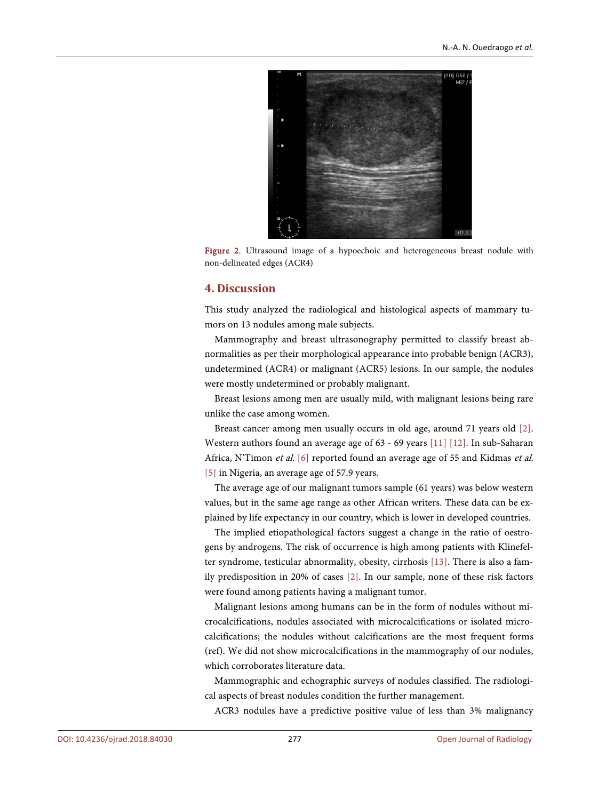<span id="page-3-0"></span>

Figure 2. Ultrasound image of a hypoechoic and heterogeneous breast nodule with non-delineated edges (ACR4)

## **4. Discussion**

This study analyzed the radiological and histological aspects of mammary tumors on 13 nodules among male subjects.

Mammography and breast ultrasonography permitted to classify breast abnormalities as per their morphological appearance into probable benign (ACR3), undetermined (ACR4) or malignant (ACR5) lesions. In our sample, the nodules were mostly undetermined or probably malignant.

Breast lesions among men are usually mild, with malignant lesions being rare unlike the case among women.

Breast cancer among men usually occurs in old age, around 71 years old [\[2\].](#page-5-1)  Western authors found an average age of 63 - 69 years [\[11\]](#page-5-10) [\[12\].](#page-5-11) In sub-Saharan Africa, N'Timon et al. [\[6\]](#page-5-5) reported found an average age of 55 and Kidmas et al. [\[5\]](#page-5-4) in Nigeria, an average age of 57.9 years.

The average age of our malignant tumors sample (61 years) was below western values, but in the same age range as other African writers. These data can be explained by life expectancy in our country, which is lower in developed countries.

The implied etiopathological factors suggest a change in the ratio of oestrogens by androgens. The risk of occurrence is high among patients with Klinefelter syndrome, testicular abnormality, obesity, cirrhosis [\[13\].](#page-5-12) There is also a family predisposition in 20% of cases [\[2\].](#page-5-1) In our sample, none of these risk factors were found among patients having a malignant tumor.

Malignant lesions among humans can be in the form of nodules without microcalcifications, nodules associated with microcalcifications or isolated microcalcifications; the nodules without calcifications are the most frequent forms (ref). We did not show microcalcifications in the mammography of our nodules, which corroborates literature data.

Mammographic and echographic surveys of nodules classified. The radiological aspects of breast nodules condition the further management.

ACR3 nodules have a predictive positive value of less than 3% malignancy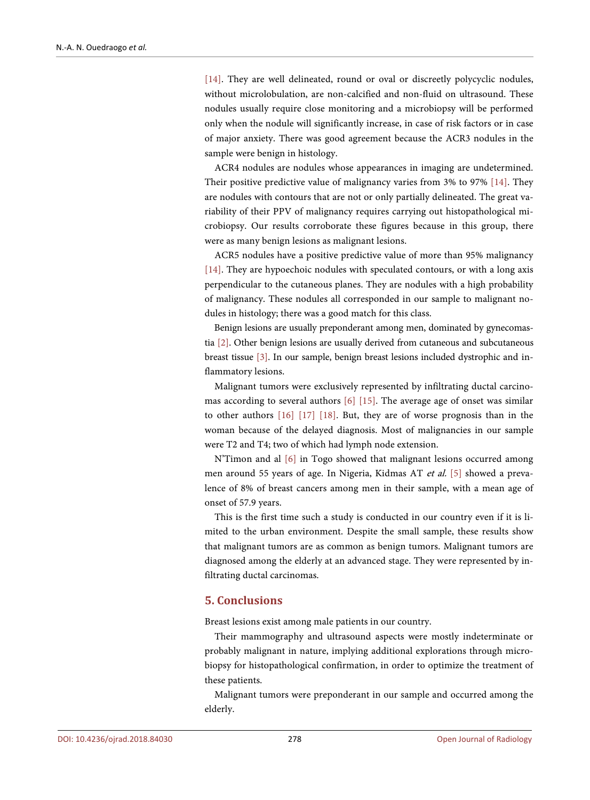[\[14\].](#page-6-0) They are well delineated, round or oval or discreetly polycyclic nodules, without microlobulation, are non-calcified and non-fluid on ultrasound. These nodules usually require close monitoring and a microbiopsy will be performed only when the nodule will significantly increase, in case of risk factors or in case of major anxiety. There was good agreement because the ACR3 nodules in the sample were benign in histology.

ACR4 nodules are nodules whose appearances in imaging are undetermined. Their positive predictive value of malignancy varies from 3% to 97% [\[14\].](#page-6-0) They are nodules with contours that are not or only partially delineated. The great variability of their PPV of malignancy requires carrying out histopathological microbiopsy. Our results corroborate these figures because in this group, there were as many benign lesions as malignant lesions.

ACR5 nodules have a positive predictive value of more than 95% malignancy [\[14\].](#page-6-0) They are hypoechoic nodules with speculated contours, or with a long axis perpendicular to the cutaneous planes. They are nodules with a high probability of malignancy. These nodules all corresponded in our sample to malignant nodules in histology; there was a good match for this class.

Benign lesions are usually preponderant among men, dominated by gynecomastia [\[2\].](#page-5-1) Other benign lesions are usually derived from cutaneous and subcutaneous breast tissue [\[3\].](#page-5-2) In our sample, benign breast lesions included dystrophic and inflammatory lesions.

Malignant tumors were exclusively represented by infiltrating ductal carcinomas according to several authors [\[6\]](#page-5-5) [\[15\].](#page-6-1) The average age of onset was similar to other authors [\[16\]](#page-6-2) [\[17\]](#page-6-3) [\[18\].](#page-6-4) But, they are of worse prognosis than in the woman because of the delayed diagnosis. Most of malignancies in our sample were T2 and T4; two of which had lymph node extension.

N'Timon and al [\[6\]](#page-5-5) in Togo showed that malignant lesions occurred among men around 55 years of age. In Nigeria, Kidmas AT et al. [\[5\]](#page-5-4) showed a prevalence of 8% of breast cancers among men in their sample, with a mean age of onset of 57.9 years.

This is the first time such a study is conducted in our country even if it is limited to the urban environment. Despite the small sample, these results show that malignant tumors are as common as benign tumors. Malignant tumors are diagnosed among the elderly at an advanced stage. They were represented by infiltrating ductal carcinomas.

#### **5. Conclusions**

Breast lesions exist among male patients in our country.

Their mammography and ultrasound aspects were mostly indeterminate or probably malignant in nature, implying additional explorations through microbiopsy for histopathological confirmation, in order to optimize the treatment of these patients.

Malignant tumors were preponderant in our sample and occurred among the elderly.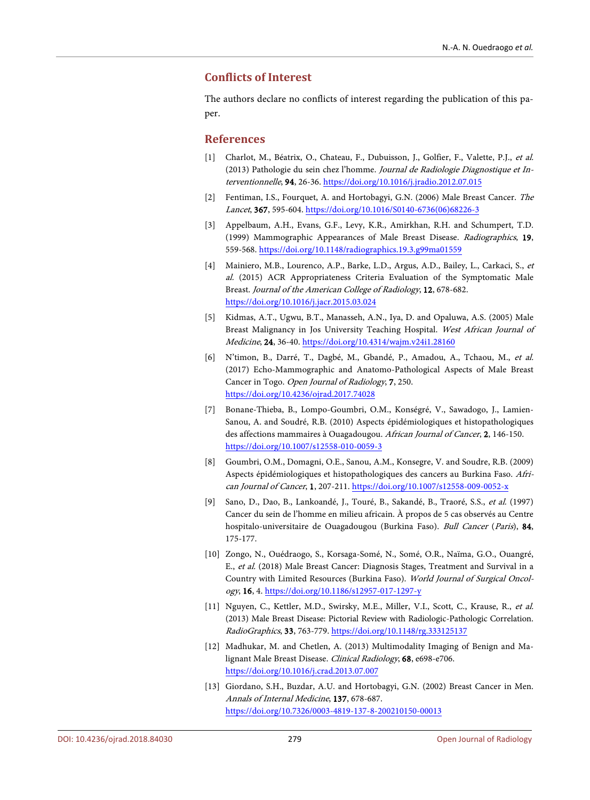## **Conflicts of Interest**

The authors declare no conflicts of interest regarding the publication of this paper.

#### **References**

- <span id="page-5-0"></span>[1] Charlot, M., Béatrix, O., Chateau, F., Dubuisson, J., Golfier, F., Valette, P.J., et al. (2013) Pathologie du sein chez l'homme. Journal de Radiologie Diagnostique et Interventionnelle, 94, 26-36[. https://doi.org/10.1016/j.jradio.2012.07.015](https://doi.org/10.1016/j.jradio.2012.07.015)
- <span id="page-5-1"></span>[2] Fentiman, I.S., Fourquet, A. and Hortobagyi, G.N. (2006) Male Breast Cancer. The Lancet, 367, 595-604[. https://doi.org/10.1016/S0140-6736\(06\)68226-3](https://doi.org/10.1016/S0140-6736(06)68226-3)
- <span id="page-5-2"></span>[3] Appelbaum, A.H., Evans, G.F., Levy, K.R., Amirkhan, R.H. and Schumpert, T.D. (1999) Mammographic Appearances of Male Breast Disease. Radiographics, 19, 559-568[. https://doi.org/10.1148/radiographics.19.3.g99ma01559](https://doi.org/10.1148/radiographics.19.3.g99ma01559)
- <span id="page-5-3"></span>[4] Mainiero, M.B., Lourenco, A.P., Barke, L.D., Argus, A.D., Bailey, L., Carkaci, S., et al. (2015) ACR Appropriateness Criteria Evaluation of the Symptomatic Male Breast. Journal of the American College of Radiology, 12, 678-682. <https://doi.org/10.1016/j.jacr.2015.03.024>
- <span id="page-5-4"></span>[5] Kidmas, A.T., Ugwu, B.T., Manasseh, A.N., Iya, D. and Opaluwa, A.S. (2005) Male Breast Malignancy in Jos University Teaching Hospital. West African Journal of Medicine, 24, 36-40[. https://doi.org/10.4314/wajm.v24i1.28160](https://doi.org/10.4314/wajm.v24i1.28160)
- <span id="page-5-5"></span>[6] N'timon, B., Darré, T., Dagbé, M., Gbandé, P., Amadou, A., Tchaou, M., et al. (2017) Echo-Mammographic and Anatomo-Pathological Aspects of Male Breast Cancer in Togo. Open Journal of Radiology, 7, 250. <https://doi.org/10.4236/ojrad.2017.74028>
- <span id="page-5-6"></span>[7] Bonane-Thieba, B., Lompo-Goumbri, O.M., Konségré, V., Sawadogo, J., Lamien-Sanou, A. and Soudré, R.B. (2010) Aspects épidémiologiques et histopathologiques des affections mammaires à Ouagadougou. African Journal of Cancer, 2, 146-150. <https://doi.org/10.1007/s12558-010-0059-3>
- <span id="page-5-7"></span>[8] Goumbri, O.M., Domagni, O.E., Sanou, A.M., Konsegre, V. and Soudre, R.B. (2009) Aspects épidémiologiques et histopathologiques des cancers au Burkina Faso. African Journal of Cancer, 1, 207-211[. https://doi.org/10.1007/s12558-009-0052-x](https://doi.org/10.1007/s12558-009-0052-x)
- <span id="page-5-8"></span>[9] Sano, D., Dao, B., Lankoandé, J., Touré, B., Sakandé, B., Traoré, S.S., et al. (1997) Cancer du sein de l'homme en milieu africain. À propos de 5 cas observés au Centre hospitalo-universitaire de Ouagadougou (Burkina Faso). Bull Cancer (Paris), 84, 175-177.
- <span id="page-5-9"></span>[10] Zongo, N., Ouédraogo, S., Korsaga-Somé, N., Somé, O.R., Naïma, G.O., Ouangré, E., et al. (2018) Male Breast Cancer: Diagnosis Stages, Treatment and Survival in a Country with Limited Resources (Burkina Faso). World Journal of Surgical Oncology, 16, 4[. https://doi.org/10.1186/s12957-017-1297-y](https://doi.org/10.1186/s12957-017-1297-y)
- <span id="page-5-10"></span>[11] Nguyen, C., Kettler, M.D., Swirsky, M.E., Miller, V.I., Scott, C., Krause, R., et al. (2013) Male Breast Disease: Pictorial Review with Radiologic-Pathologic Correlation. RadioGraphics, 33, 763-779[. https://doi.org/10.1148/rg.333125137](https://doi.org/10.1148/rg.333125137)
- <span id="page-5-11"></span>[12] Madhukar, M. and Chetlen, A. (2013) Multimodality Imaging of Benign and Malignant Male Breast Disease. Clinical Radiology, 68, e698-e706. <https://doi.org/10.1016/j.crad.2013.07.007>
- <span id="page-5-12"></span>[13] Giordano, S.H., Buzdar, A.U. and Hortobagyi, G.N. (2002) Breast Cancer in Men. Annals of Internal Medicine, 137, 678-687. <https://doi.org/10.7326/0003-4819-137-8-200210150-00013>